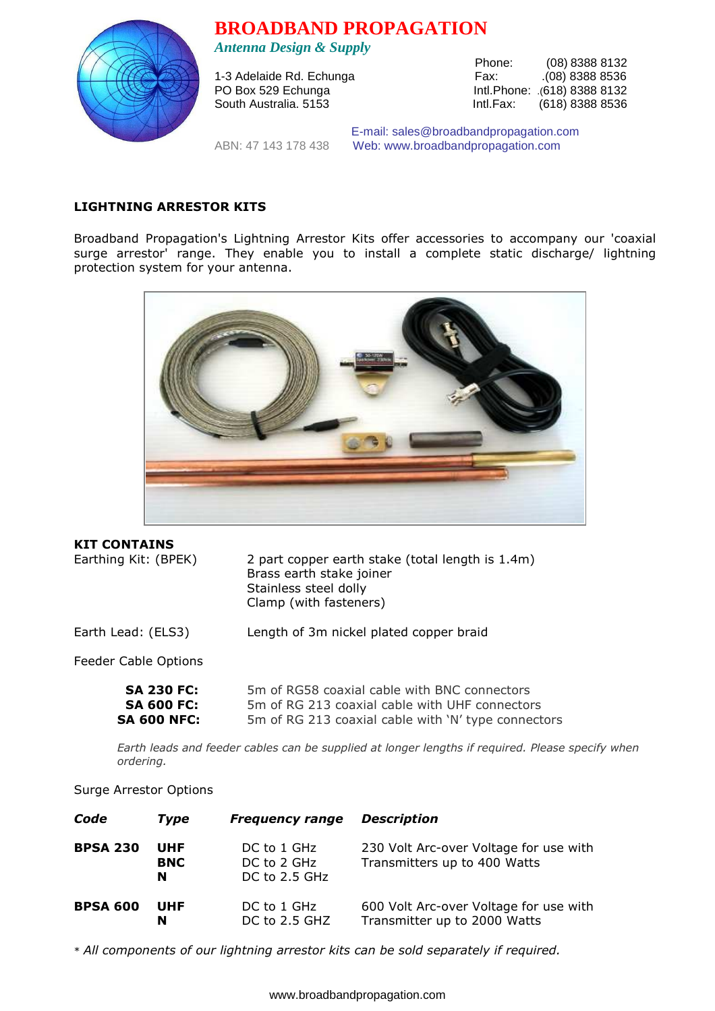



1-3 Adelaide Rd. Echunga

Phone: (08) 8388 8132<br>Fax: (08) 8388 8536 PO Box 529 Echunga Intl.Phone: .(618) 8388 8132 South Australia. 5153 **Intl.Fax:** (618) 8388 8536

 E-mail: sales@broadbandpropagation.com ABN: 47 143 178 438 Web: www.broadbandpropagation.com

## **LIGHTNING ARRESTOR KITS**

Broadband Propagation's Lightning Arrestor Kits offer accessories to accompany our 'coaxial surge arrestor' range. They enable you to install a complete static discharge/ lightning protection system for your antenna.



## **KIT CONTAINS**

Earthing Kit: (BPEK) 2 part copper earth stake (total length is 1.4m) Brass earth stake joiner Stainless steel dolly Clamp (with fasteners)

Earth Lead: (ELS3) Length of 3m nickel plated copper braid

Feeder Cable Options

| <b>SA 230 FC:</b>  | 5m of RG58 coaxial cable with BNC connectors        |
|--------------------|-----------------------------------------------------|
| <b>SA 600 FC:</b>  | 5m of RG 213 coaxial cable with UHF connectors      |
| <b>SA 600 NFC:</b> | 5m of RG 213 coaxial cable with 'N' type connectors |

 *Earth leads and feeder cables can be supplied at longer lengths if required. Please specify when ordering.*

## Surge Arrestor Options

| Code            | Type                   | <b>Frequency range</b>                      | <b>Description</b>                                                     |
|-----------------|------------------------|---------------------------------------------|------------------------------------------------------------------------|
| <b>BPSA 230</b> | UHF<br><b>BNC</b><br>N | DC to 1 GHz<br>DC to 2 GHz<br>DC to 2.5 GHz | 230 Volt Arc-over Voltage for use with<br>Transmitters up to 400 Watts |
| <b>BPSA 600</b> | UHF<br>N               | DC to 1 GHz<br>DC to 2.5 GHZ                | 600 Volt Arc-over Voltage for use with<br>Transmitter up to 2000 Watts |

\* *All components of our lightning arrestor kits can be sold separately if required.*